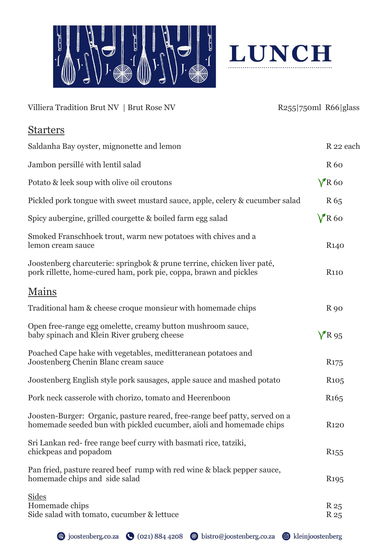



| Villiera Tradition Brut NV   Brut Rose NV                                                                                                          | $R255$  750ml R66 glass |                     |
|----------------------------------------------------------------------------------------------------------------------------------------------------|-------------------------|---------------------|
| <b>Starters</b>                                                                                                                                    |                         |                     |
| Saldanha Bay oyster, mignonette and lemon                                                                                                          |                         | R 22 each           |
| Jambon persillé with lentil salad                                                                                                                  |                         | <b>R60</b>          |
| Potato & leek soup with olive oil croutons                                                                                                         |                         | $V$ R60             |
| Pickled pork tongue with sweet mustard sauce, apple, celery & cucumber salad                                                                       |                         | R <sub>65</sub>     |
| Spicy aubergine, grilled courgette & boiled farm egg salad                                                                                         |                         | $V$ R60             |
| Smoked Franschhoek trout, warm new potatoes with chives and a<br>lemon cream sauce                                                                 |                         | R <sub>140</sub>    |
| Joostenberg charcuterie: springbok & prune terrine, chicken liver paté,<br>pork rillette, home-cured ham, pork pie, coppa, brawn and pickles       |                         | <b>R110</b>         |
| <u>Mains</u>                                                                                                                                       |                         |                     |
| Traditional ham & cheese croque monsieur with homemade chips                                                                                       |                         | <b>R</b> 90         |
| Open free-range egg omelette, creamy button mushroom sauce,<br>baby spinach and Klein River gruberg cheese                                         |                         | $V$ R <sub>95</sub> |
| Poached Cape hake with vegetables, meditteranean potatoes and<br>Joostenberg Chenin Blanc cream sauce                                              |                         | R <sub>175</sub>    |
| Joostenberg English style pork sausages, apple sauce and mashed potato                                                                             |                         | R <sub>105</sub>    |
| Pork neck casserole with chorizo, tomato and Heerenboon                                                                                            |                         | R <sub>165</sub>    |
| Joosten-Burger: Organic, pasture reared, free-range beef patty, served on a<br>homemade seeded bun with pickled cucumber, aïoli and homemade chips |                         | <b>R120</b>         |
| Sri Lankan red-free range beef curry with basmati rice, tatziki,<br>chickpeas and popadom                                                          |                         | R <sub>155</sub>    |
| Pan fried, pasture reared beef rump with red wine & black pepper sauce,<br>homemade chips and side salad                                           |                         | R <sub>195</sub>    |
| <b>Sides</b><br>Homemade chips<br>Side salad with tomato, cucumber & lettuce                                                                       |                         | R 25<br>R 25        |